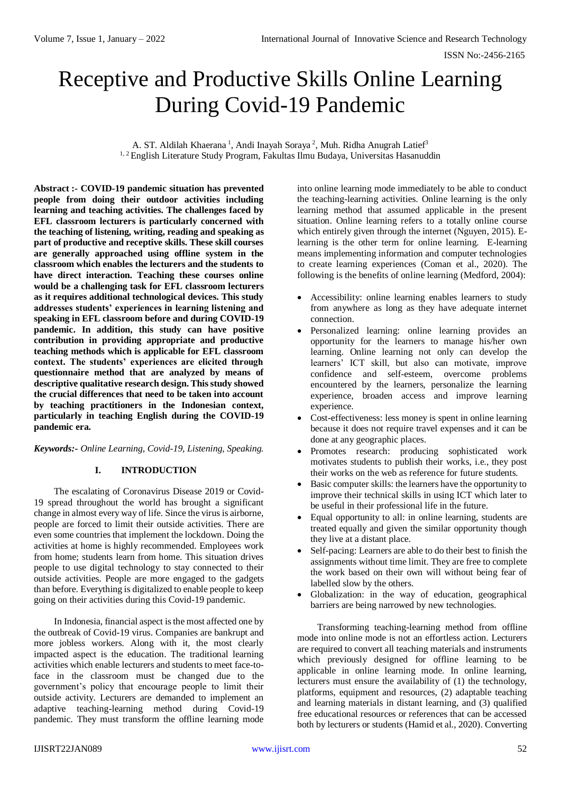# Receptive and Productive Skills Online Learning During Covid-19 Pandemic

A. ST. Aldilah Khaerana<sup>1</sup>, Andi Inayah Soraya<sup>2</sup>, Muh. Ridha Anugrah Latief<sup>3</sup> <sup>1, 2</sup> English Literature Study Program, Fakultas Ilmu Budaya, Universitas Hasanuddin

**Abstract :- COVID-19 pandemic situation has prevented people from doing their outdoor activities including learning and teaching activities. The challenges faced by EFL classroom lecturers is particularly concerned with the teaching of listening, writing, reading and speaking as part of productive and receptive skills. These skill courses are generally approached using offline system in the classroom which enables the lecturers and the students to have direct interaction. Teaching these courses online would be a challenging task for EFL classroom lecturers as it requires additional technological devices. This study addresses students' experiences in learning listening and speaking in EFL classroom before and during COVID-19 pandemic. In addition, this study can have positive contribution in providing appropriate and productive teaching methods which is applicable for EFL classroom context. The students' experiences are elicited through questionnaire method that are analyzed by means of descriptive qualitative research design. This study showed the crucial differences that need to be taken into account by teaching practitioners in the Indonesian context, particularly in teaching English during the COVID-19 pandemic era.**

## *Keywords:- Online Learning, Covid-19, Listening, Speaking.*

#### **I. INTRODUCTION**

The escalating of Coronavirus Disease 2019 or Covid-19 spread throughout the world has brought a significant change in almost every way of life. Since the virus is airborne, people are forced to limit their outside activities. There are even some countries that implement the lockdown. Doing the activities at home is highly recommended. Employees work from home; students learn from home. This situation drives people to use digital technology to stay connected to their outside activities. People are more engaged to the gadgets than before. Everything is digitalized to enable people to keep going on their activities during this Covid-19 pandemic.

In Indonesia, financial aspect is the most affected one by the outbreak of Covid-19 virus. Companies are bankrupt and more jobless workers. Along with it, the most clearly impacted aspect is the education. The traditional learning activities which enable lecturers and students to meet face-toface in the classroom must be changed due to the government's policy that encourage people to limit their outside activity. Lecturers are demanded to implement an adaptive teaching-learning method during Covid-19 pandemic. They must transform the offline learning mode

into online learning mode immediately to be able to conduct the teaching-learning activities. Online learning is the only learning method that assumed applicable in the present situation. Online learning refers to a totally online course which entirely given through the internet (Nguyen, 2015). Elearning is the other term for online learning. E-learning means implementing information and computer technologies to create learning experiences (Coman et al., 2020). The following is the benefits of online learning (Medford, 2004):

- Accessibility: online learning enables learners to study from anywhere as long as they have adequate internet connection.
- Personalized learning: online learning provides an opportunity for the learners to manage his/her own learning. Online learning not only can develop the learners' ICT skill, but also can motivate, improve confidence and self-esteem, overcome problems encountered by the learners, personalize the learning experience, broaden access and improve learning experience.
- Cost-effectiveness: less money is spent in online learning because it does not require travel expenses and it can be done at any geographic places.
- Promotes research: producing sophisticated work motivates students to publish their works, i.e., they post their works on the web as reference for future students.
- Basic computer skills: the learners have the opportunity to improve their technical skills in using ICT which later to be useful in their professional life in the future.
- Equal opportunity to all: in online learning, students are treated equally and given the similar opportunity though they live at a distant place.
- Self-pacing: Learners are able to do their best to finish the assignments without time limit. They are free to complete the work based on their own will without being fear of labelled slow by the others.
- Globalization: in the way of education, geographical barriers are being narrowed by new technologies.

Transforming teaching-learning method from offline mode into online mode is not an effortless action. Lecturers are required to convert all teaching materials and instruments which previously designed for offline learning to be applicable in online learning mode. In online learning, lecturers must ensure the availability of (1) the technology, platforms, equipment and resources, (2) adaptable teaching and learning materials in distant learning, and (3) qualified free educational resources or references that can be accessed both by lecturers or students (Hamid et al., 2020). Converting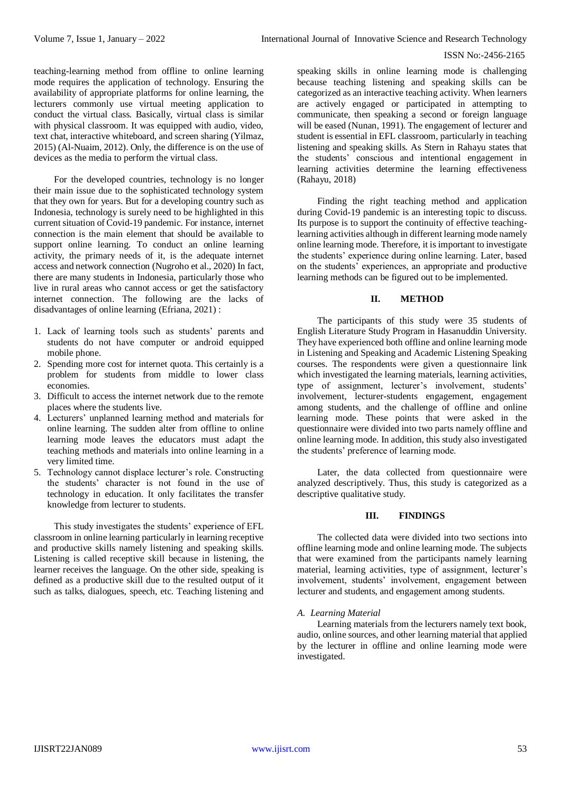teaching-learning method from offline to online learning mode requires the application of technology. Ensuring the availability of appropriate platforms for online learning, the lecturers commonly use virtual meeting application to conduct the virtual class. Basically, virtual class is similar with physical classroom. It was equipped with audio, video, text chat, interactive whiteboard, and screen sharing (Yilmaz, 2015) (Al-Nuaim, 2012). Only, the difference is on the use of devices as the media to perform the virtual class.

For the developed countries, technology is no longer their main issue due to the sophisticated technology system that they own for years. But for a developing country such as Indonesia, technology is surely need to be highlighted in this current situation of Covid-19 pandemic. For instance, internet connection is the main element that should be available to support online learning. To conduct an online learning activity, the primary needs of it, is the adequate internet access and network connection (Nugroho et al., 2020) In fact, there are many students in Indonesia, particularly those who live in rural areas who cannot access or get the satisfactory internet connection. The following are the lacks of disadvantages of online learning (Efriana, 2021) :

- 1. Lack of learning tools such as students' parents and students do not have computer or android equipped mobile phone.
- 2. Spending more cost for internet quota. This certainly is a problem for students from middle to lower class economies.
- 3. Difficult to access the internet network due to the remote places where the students live.
- 4. Lecturers' unplanned learning method and materials for online learning. The sudden alter from offline to online learning mode leaves the educators must adapt the teaching methods and materials into online learning in a very limited time.
- 5. Technology cannot displace lecturer's role. Constructing the students' character is not found in the use of technology in education. It only facilitates the transfer knowledge from lecturer to students.

This study investigates the students' experience of EFL classroom in online learning particularly in learning receptive and productive skills namely listening and speaking skills. Listening is called receptive skill because in listening, the learner receives the language. On the other side, speaking is defined as a productive skill due to the resulted output of it such as talks, dialogues, speech, etc. Teaching listening and

speaking skills in online learning mode is challenging because teaching listening and speaking skills can be categorized as an interactive teaching activity. When learners are actively engaged or participated in attempting to communicate, then speaking a second or foreign language will be eased (Nunan, 1991). The engagement of lecturer and student is essential in EFL classroom, particularly in teaching listening and speaking skills. As Stern in Rahayu states that the students' conscious and intentional engagement in learning activities determine the learning effectiveness (Rahayu, 2018)

Finding the right teaching method and application during Covid-19 pandemic is an interesting topic to discuss. Its purpose is to support the continuity of effective teachinglearning activities although in different learning mode namely online learning mode. Therefore, it is important to investigate the students' experience during online learning. Later, based on the students' experiences, an appropriate and productive learning methods can be figured out to be implemented.

## **II. METHOD**

The participants of this study were 35 students of English Literature Study Program in Hasanuddin University. They have experienced both offline and online learning mode in Listening and Speaking and Academic Listening Speaking courses. The respondents were given a questionnaire link which investigated the learning materials, learning activities, type of assignment, lecturer's involvement, students' involvement, lecturer-students engagement, engagement among students, and the challenge of offline and online learning mode. These points that were asked in the questionnaire were divided into two parts namely offline and online learning mode. In addition, this study also investigated the students' preference of learning mode.

Later, the data collected from questionnaire were analyzed descriptively. Thus, this study is categorized as a descriptive qualitative study.

## **III. FINDINGS**

The collected data were divided into two sections into offline learning mode and online learning mode. The subjects that were examined from the participants namely learning material, learning activities, type of assignment, lecturer's involvement, students' involvement, engagement between lecturer and students, and engagement among students.

## *A. Learning Material*

Learning materials from the lecturers namely text book, audio, online sources, and other learning material that applied by the lecturer in offline and online learning mode were investigated.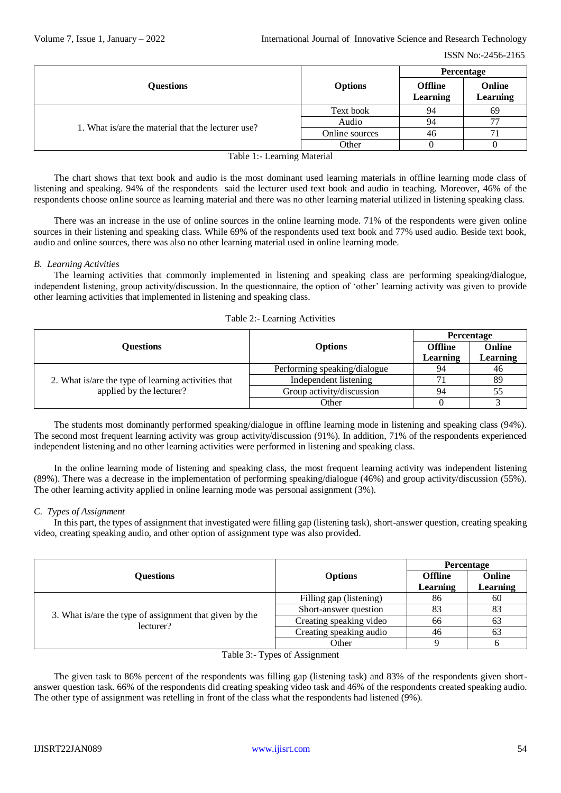|                                                    |                | <b>Percentage</b>                 |                    |
|----------------------------------------------------|----------------|-----------------------------------|--------------------|
| <b>Questions</b>                                   | <b>Options</b> | <b>Offline</b><br><b>Learning</b> | Online<br>Learning |
| 1. What is/are the material that the lecturer use? | Text book      | 94                                | 69                 |
|                                                    | Audio          | 94                                | 77                 |
|                                                    | Online sources | 46                                |                    |
|                                                    | Other          |                                   |                    |

Table 1:- Learning Material

The chart shows that text book and audio is the most dominant used learning materials in offline learning mode class of listening and speaking. 94% of the respondents said the lecturer used text book and audio in teaching. Moreover, 46% of the respondents choose online source as learning material and there was no other learning material utilized in listening speaking class.

There was an increase in the use of online sources in the online learning mode. 71% of the respondents were given online sources in their listening and speaking class. While 69% of the respondents used text book and 77% used audio. Beside text book, audio and online sources, there was also no other learning material used in online learning mode.

*B. Learning Activities*

The learning activities that commonly implemented in listening and speaking class are performing speaking/dialogue, independent listening, group activity/discussion. In the questionnaire, the option of 'other' learning activity was given to provide other learning activities that implemented in listening and speaking class.

|  |  | Table 2:- Learning Activities |
|--|--|-------------------------------|
|--|--|-------------------------------|

|                                                                                 |                              | Percentage     |          |
|---------------------------------------------------------------------------------|------------------------------|----------------|----------|
| <b>Ouestions</b>                                                                | <b>Options</b>               | <b>Offline</b> | Online   |
|                                                                                 |                              | Learning       | Learning |
| 2. What is/are the type of learning activities that<br>applied by the lecturer? | Performing speaking/dialogue | 94             | 46       |
|                                                                                 | Independent listening        |                | 89       |
|                                                                                 | Group activity/discussion    | 94             | 55       |
|                                                                                 | Other                        |                |          |

The students most dominantly performed speaking/dialogue in offline learning mode in listening and speaking class (94%). The second most frequent learning activity was group activity/discussion (91%). In addition, 71% of the respondents experienced independent listening and no other learning activities were performed in listening and speaking class.

In the online learning mode of listening and speaking class, the most frequent learning activity was independent listening (89%). There was a decrease in the implementation of performing speaking/dialogue (46%) and group activity/discussion (55%). The other learning activity applied in online learning mode was personal assignment (3%).

## *C. Types of Assignment*

In this part, the types of assignment that investigated were filling gap (listening task), short-answer question, creating speaking video, creating speaking audio, and other option of assignment type was also provided.

|                                                                      |                         | Percentage     |                 |
|----------------------------------------------------------------------|-------------------------|----------------|-----------------|
| <b>Ouestions</b>                                                     | <b>Options</b>          | <b>Offline</b> | Online          |
|                                                                      |                         | Learning       | <b>Learning</b> |
| 3. What is/are the type of assignment that given by the<br>lecturer? | Filling gap (listening) | 86             | 60              |
|                                                                      | Short-answer question   | 83             | 83              |
|                                                                      | Creating speaking video | 66             | 63              |
|                                                                      | Creating speaking audio | 46             | 63              |
|                                                                      | Other                   |                |                 |

Table 3:- Types of Assignment

The given task to 86% percent of the respondents was filling gap (listening task) and 83% of the respondents given shortanswer question task. 66% of the respondents did creating speaking video task and 46% of the respondents created speaking audio. The other type of assignment was retelling in front of the class what the respondents had listened (9%).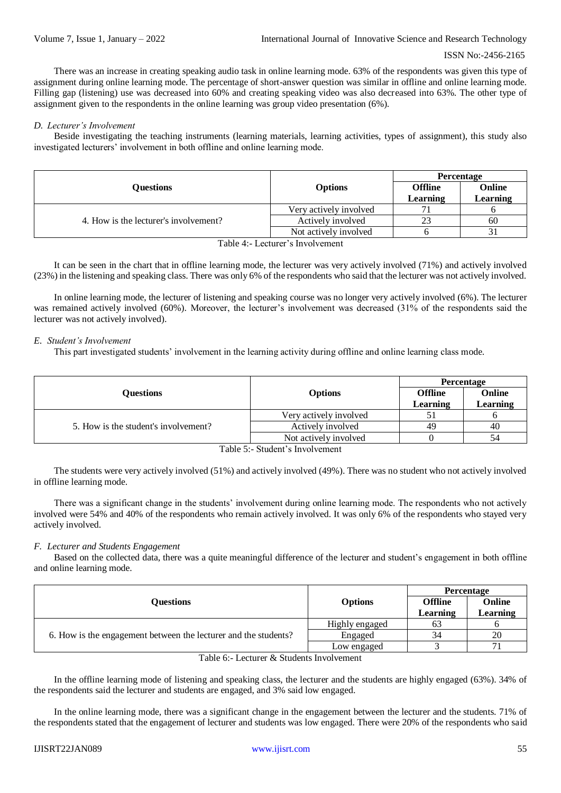There was an increase in creating speaking audio task in online learning mode. 63% of the respondents was given this type of assignment during online learning mode. The percentage of short-answer question was similar in offline and online learning mode. Filling gap (listening) use was decreased into 60% and creating speaking video was also decreased into 63%. The other type of assignment given to the respondents in the online learning was group video presentation (6%).

## *D. Lecturer's Involvement*

Beside investigating the teaching instruments (learning materials, learning activities, types of assignment), this study also investigated lecturers' involvement in both offline and online learning mode.

|                                       |                        | Percentage                 |                    |
|---------------------------------------|------------------------|----------------------------|--------------------|
| <b>Ouestions</b>                      | <b>Options</b>         | <b>Offline</b><br>Learning | Online<br>Learning |
| 4. How is the lecturer's involvement? | Very actively involved |                            |                    |
|                                       | Actively involved      | 23                         | 60                 |
|                                       | Not actively involved  |                            |                    |
| Table 4:- Lecturer's Involvement      |                        |                            |                    |

It can be seen in the chart that in offline learning mode, the lecturer was very actively involved (71%) and actively involved (23%) in the listening and speaking class. There was only 6% of the respondents who said that the lecturer was not actively involved.

In online learning mode, the lecturer of listening and speaking course was no longer very actively involved (6%). The lecturer was remained actively involved (60%). Moreover, the lecturer's involvement was decreased (31% of the respondents said the lecturer was not actively involved).

### *E. Student's Involvement*

This part investigated students' involvement in the learning activity during offline and online learning class mode.

|                                      |                        | Percentage                 |                           |
|--------------------------------------|------------------------|----------------------------|---------------------------|
| <b>Ouestions</b>                     | <b>Options</b>         | <b>Offline</b><br>Learning | Online<br><b>Learning</b> |
| 5. How is the student's involvement? | Very actively involved |                            |                           |
|                                      | Actively involved      | 49                         | 40                        |
|                                      | Not actively involved  |                            | 54                        |
| Table 5:- Student's Involvement      |                        |                            |                           |

The students were very actively involved (51%) and actively involved (49%). There was no student who not actively involved in offline learning mode.

There was a significant change in the students' involvement during online learning mode. The respondents who not actively involved were 54% and 40% of the respondents who remain actively involved. It was only 6% of the respondents who stayed very actively involved.

## *F. Lecturer and Students Engagement*

Based on the collected data, there was a quite meaningful difference of the lecturer and student's engagement in both offline and online learning mode.

|                                                                 |                | Percentage     |               |
|-----------------------------------------------------------------|----------------|----------------|---------------|
| <b>Ouestions</b>                                                | <b>Options</b> | <b>Offline</b> | Online        |
|                                                                 |                | Learning       | $\mu$ earning |
| 6. How is the engagement between the lecturer and the students? | Highly engaged | 63             |               |
|                                                                 | Engaged        | 34             | 20            |
|                                                                 | Low engaged    |                | 71            |

Table 6:- Lecturer & Students Involvement

In the offline learning mode of listening and speaking class, the lecturer and the students are highly engaged (63%). 34% of the respondents said the lecturer and students are engaged, and 3% said low engaged.

In the online learning mode, there was a significant change in the engagement between the lecturer and the students. 71% of the respondents stated that the engagement of lecturer and students was low engaged. There were 20% of the respondents who said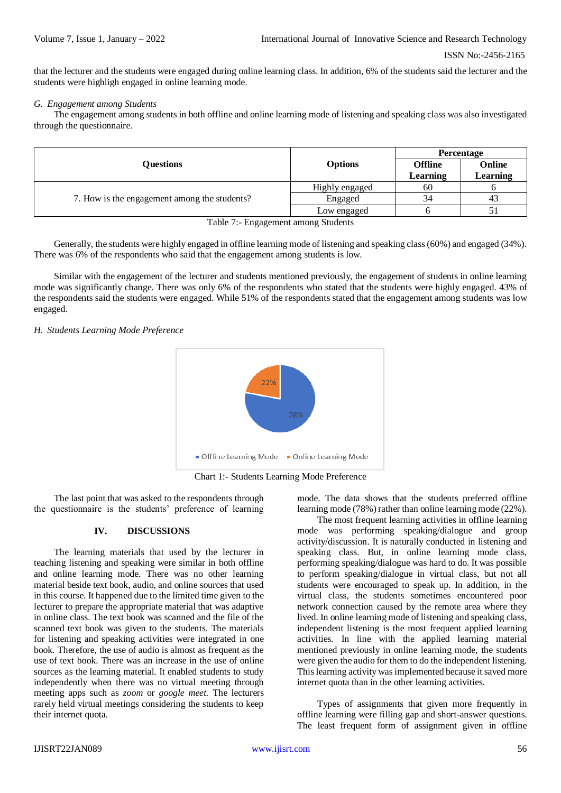that the lecturer and the students were engaged during online learning class. In addition, 6% of the students said the lecturer and the students were highligh engaged in online learning mode.

#### *G. Engagement among Students*

The engagement among students in both offline and online learning mode of listening and speaking class was also investigated through the questionnaire.

|                | Percentage     |          |
|----------------|----------------|----------|
| <b>Options</b> | <b>Offline</b> | Online   |
|                | Learning       | Learning |
| Highly engaged | 60             |          |
| Engaged        | 34             | 43       |
| Low engaged    |                |          |
|                |                |          |

Table 7:- Engagement among Students

Generally, the students were highly engaged in offline learning mode of listening and speaking class (60%) and engaged (34%). There was 6% of the respondents who said that the engagement among students is low.

Similar with the engagement of the lecturer and students mentioned previously, the engagement of students in online learning mode was significantly change. There was only 6% of the respondents who stated that the students were highly engaged. 43% of the respondents said the students were engaged. While 51% of the respondents stated that the engagement among students was low engaged.

*H. Students Learning Mode Preference*



Chart 1:- Students Learning Mode Preference

The last point that was asked to the respondents through the questionnaire is the students' preference of learning

### **IV. DISCUSSIONS**

The learning materials that used by the lecturer in teaching listening and speaking were similar in both offline and online learning mode. There was no other learning material beside text book, audio, and online sources that used in this course. It happened due to the limited time given to the lecturer to prepare the appropriate material that was adaptive in online class. The text book was scanned and the file of the scanned text book was given to the students. The materials for listening and speaking activities were integrated in one book. Therefore, the use of audio is almost as frequent as the use of text book. There was an increase in the use of online sources as the learning material. It enabled students to study independently when there was no virtual meeting through meeting apps such as *zoom* or *google meet.* The lecturers rarely held virtual meetings considering the students to keep their internet quota.

mode. The data shows that the students preferred offline learning mode (78%) rather than online learning mode (22%).

The most frequent learning activities in offline learning mode was performing speaking/dialogue and group activity/discussion. It is naturally conducted in listening and speaking class. But, in online learning mode class, performing speaking/dialogue was hard to do. It was possible to perform speaking/dialogue in virtual class, but not all students were encouraged to speak up. In addition, in the virtual class, the students sometimes encountered poor network connection caused by the remote area where they lived. In online learning mode of listening and speaking class, independent listening is the most frequent applied learning activities. In line with the applied learning material mentioned previously in online learning mode, the students were given the audio for them to do the independent listening. This learning activity was implemented because it saved more internet quota than in the other learning activities.

Types of assignments that given more frequently in offline learning were filling gap and short-answer questions. The least frequent form of assignment given in offline